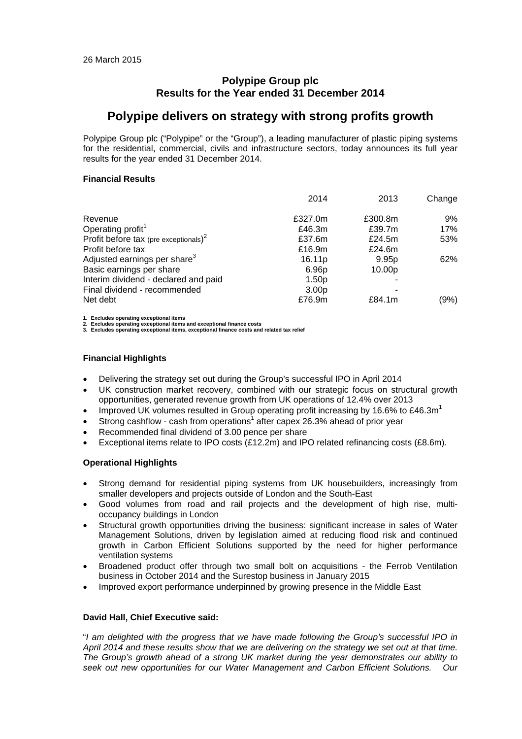# **Polypipe Group plc Results for the Year ended 31 December 2014**

# **Polypipe delivers on strategy with strong profits growth**

Polypipe Group plc ("Polypipe" or the "Group"), a leading manufacturer of plastic piping systems for the residential, commercial, civils and infrastructure sectors, today announces its full year results for the year ended 31 December 2014.

#### **Financial Results**

|                                                   | 2014               | 2013              | Change |
|---------------------------------------------------|--------------------|-------------------|--------|
| Revenue                                           | £327.0m            | £300.8m           | 9%     |
| Operating profit <sup>1</sup>                     | £46.3m             | £39.7m            | 17%    |
| Profit before tax (pre exceptionals) <sup>2</sup> | £37.6m             | £24.5 $m$         | 53%    |
| Profit before tax                                 | £16.9m             | £24.6m            |        |
| Adjusted earnings per share <sup>3</sup>          | 16.11 <sub>p</sub> | 9.95 <sub>p</sub> | 62%    |
| Basic earnings per share                          | 6.96 <sub>p</sub>  | 10.00p            |        |
| Interim dividend - declared and paid              | 1.50 <sub>p</sub>  |                   |        |
| Final dividend - recommended                      | 3.00 <sub>p</sub>  |                   |        |
| Net debt                                          | £76.9m             | £84.1m            | (9%)   |

**1. Excludes operating exceptional items** 

**2. Excludes operating exceptional items and exceptional finance costs 3. Excludes operating exceptional items, exceptional finance costs and related tax relief** 

### **Financial Highlights**

- Delivering the strategy set out during the Group's successful IPO in April 2014
- UK construction market recovery, combined with our strategic focus on structural growth opportunities, generated revenue growth from UK operations of 12.4% over 2013
- Improved UK volumes resulted in Group operating profit increasing by 16.6% to £46.3 $m<sup>1</sup>$
- Strong cashflow cash from operations<sup>1</sup> after capex 26.3% ahead of prior year
- Recommended final dividend of 3.00 pence per share
- Exceptional items relate to IPO costs (£12.2m) and IPO related refinancing costs (£8.6m).

#### **Operational Highlights**

- Strong demand for residential piping systems from UK housebuilders, increasingly from smaller developers and projects outside of London and the South-East
- Good volumes from road and rail projects and the development of high rise, multioccupancy buildings in London
- Structural growth opportunities driving the business: significant increase in sales of Water Management Solutions, driven by legislation aimed at reducing flood risk and continued growth in Carbon Efficient Solutions supported by the need for higher performance ventilation systems
- Broadened product offer through two small bolt on acquisitions the Ferrob Ventilation business in October 2014 and the Surestop business in January 2015
- Improved export performance underpinned by growing presence in the Middle East

#### **David Hall, Chief Executive said:**

"*I am delighted with the progress that we have made following the Group's successful IPO in April 2014 and these results show that we are delivering on the strategy we set out at that time. The Group's growth ahead of a strong UK market during the year demonstrates our ability to seek out new opportunities for our Water Management and Carbon Efficient Solutions. Our*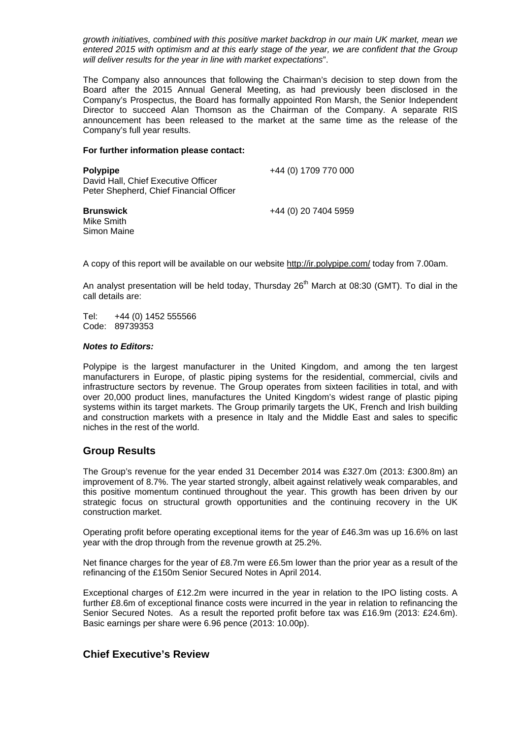*growth initiatives, combined with this positive market backdrop in our main UK market, mean we entered 2015 with optimism and at this early stage of the year, we are confident that the Group will deliver results for the year in line with market expectations*".

The Company also announces that following the Chairman's decision to step down from the Board after the 2015 Annual General Meeting, as had previously been disclosed in the Company's Prospectus, the Board has formally appointed Ron Marsh, the Senior Independent Director to succeed Alan Thomson as the Chairman of the Company. A separate RIS announcement has been released to the market at the same time as the release of the Company's full year results.

#### **For further information please contact:**

| <b>Polypipe</b><br>David Hall, Chief Executive Officer<br>Peter Shepherd, Chief Financial Officer | +44 (0) 1709 770 000 |
|---------------------------------------------------------------------------------------------------|----------------------|
| <b>Brunswick</b><br>Mike Smith<br>Simon Maine                                                     | +44 (0) 20 7404 5959 |

A copy of this report will be available on our website http://ir.polypipe.com/ today from 7.00am.

An analyst presentation will be held today, Thursday  $26<sup>th</sup>$  March at 08:30 (GMT). To dial in the call details are:

Tel: +44 (0) 1452 555566 Code: 89739353

#### *Notes to Editors:*

Polypipe is the largest manufacturer in the United Kingdom, and among the ten largest manufacturers in Europe, of plastic piping systems for the residential, commercial, civils and infrastructure sectors by revenue. The Group operates from sixteen facilities in total, and with over 20,000 product lines, manufactures the United Kingdom's widest range of plastic piping systems within its target markets. The Group primarily targets the UK, French and Irish building and construction markets with a presence in Italy and the Middle East and sales to specific niches in the rest of the world.

## **Group Results**

The Group's revenue for the year ended 31 December 2014 was £327.0m (2013: £300.8m) an improvement of 8.7%. The year started strongly, albeit against relatively weak comparables, and this positive momentum continued throughout the year. This growth has been driven by our strategic focus on structural growth opportunities and the continuing recovery in the UK construction market.

Operating profit before operating exceptional items for the year of £46.3m was up 16.6% on last year with the drop through from the revenue growth at 25.2%.

Net finance charges for the year of £8.7m were £6.5m lower than the prior year as a result of the refinancing of the £150m Senior Secured Notes in April 2014.

Exceptional charges of £12.2m were incurred in the year in relation to the IPO listing costs. A further £8.6m of exceptional finance costs were incurred in the year in relation to refinancing the Senior Secured Notes. As a result the reported profit before tax was £16.9m (2013: £24.6m). Basic earnings per share were 6.96 pence (2013: 10.00p).

# **Chief Executive's Review**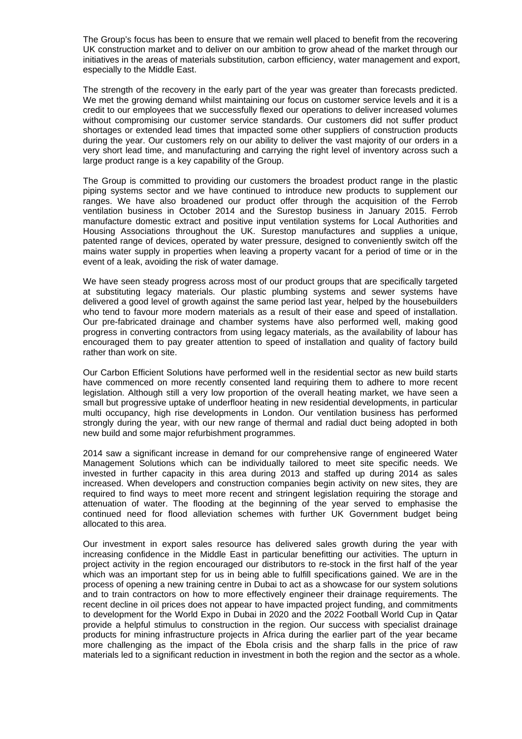The Group's focus has been to ensure that we remain well placed to benefit from the recovering UK construction market and to deliver on our ambition to grow ahead of the market through our initiatives in the areas of materials substitution, carbon efficiency, water management and export, especially to the Middle East.

The strength of the recovery in the early part of the year was greater than forecasts predicted. We met the growing demand whilst maintaining our focus on customer service levels and it is a credit to our employees that we successfully flexed our operations to deliver increased volumes without compromising our customer service standards. Our customers did not suffer product shortages or extended lead times that impacted some other suppliers of construction products during the year. Our customers rely on our ability to deliver the vast majority of our orders in a very short lead time, and manufacturing and carrying the right level of inventory across such a large product range is a key capability of the Group.

The Group is committed to providing our customers the broadest product range in the plastic piping systems sector and we have continued to introduce new products to supplement our ranges. We have also broadened our product offer through the acquisition of the Ferrob ventilation business in October 2014 and the Surestop business in January 2015. Ferrob manufacture domestic extract and positive input ventilation systems for Local Authorities and Housing Associations throughout the UK. Surestop manufactures and supplies a unique, patented range of devices, operated by water pressure, designed to conveniently switch off the mains water supply in properties when leaving a property vacant for a period of time or in the event of a leak, avoiding the risk of water damage.

We have seen steady progress across most of our product groups that are specifically targeted at substituting legacy materials. Our plastic plumbing systems and sewer systems have delivered a good level of growth against the same period last year, helped by the housebuilders who tend to favour more modern materials as a result of their ease and speed of installation. Our pre-fabricated drainage and chamber systems have also performed well, making good progress in converting contractors from using legacy materials, as the availability of labour has encouraged them to pay greater attention to speed of installation and quality of factory build rather than work on site.

Our Carbon Efficient Solutions have performed well in the residential sector as new build starts have commenced on more recently consented land requiring them to adhere to more recent legislation. Although still a very low proportion of the overall heating market, we have seen a small but progressive uptake of underfloor heating in new residential developments, in particular multi occupancy, high rise developments in London. Our ventilation business has performed strongly during the year, with our new range of thermal and radial duct being adopted in both new build and some major refurbishment programmes.

2014 saw a significant increase in demand for our comprehensive range of engineered Water Management Solutions which can be individually tailored to meet site specific needs. We invested in further capacity in this area during 2013 and staffed up during 2014 as sales increased. When developers and construction companies begin activity on new sites, they are required to find ways to meet more recent and stringent legislation requiring the storage and attenuation of water. The flooding at the beginning of the year served to emphasise the continued need for flood alleviation schemes with further UK Government budget being allocated to this area.

Our investment in export sales resource has delivered sales growth during the year with increasing confidence in the Middle East in particular benefitting our activities. The upturn in project activity in the region encouraged our distributors to re-stock in the first half of the year which was an important step for us in being able to fulfill specifications gained. We are in the process of opening a new training centre in Dubai to act as a showcase for our system solutions and to train contractors on how to more effectively engineer their drainage requirements. The recent decline in oil prices does not appear to have impacted project funding, and commitments to development for the World Expo in Dubai in 2020 and the 2022 Football World Cup in Qatar provide a helpful stimulus to construction in the region. Our success with specialist drainage products for mining infrastructure projects in Africa during the earlier part of the year became more challenging as the impact of the Ebola crisis and the sharp falls in the price of raw materials led to a significant reduction in investment in both the region and the sector as a whole.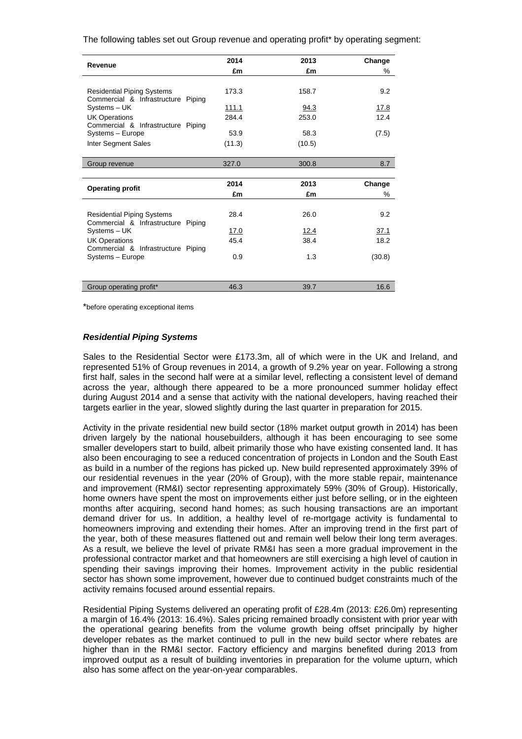| Revenue                                                | 2014          | 2013        | Change      |
|--------------------------------------------------------|---------------|-------------|-------------|
|                                                        | £m            | £m          | %           |
|                                                        |               |             |             |
| <b>Residential Piping Systems</b>                      | 173.3         | 158.7       | 9.2         |
| Commercial & Infrastructure Piping                     |               |             |             |
| Systems - UK                                           | <u> 111.1</u> | 94.3        | <u>17.8</u> |
| <b>UK Operations</b>                                   | 284.4         | 253.0       | 12.4        |
| Commercial & Infrastructure Piping<br>Systems - Europe | 53.9          | 58.3        | (7.5)       |
| Inter Segment Sales                                    | (11.3)        | (10.5)      |             |
|                                                        |               |             |             |
| Group revenue                                          | 327.0         | 300.8       | 8.7         |
|                                                        |               |             |             |
| <b>Operating profit</b>                                | 2014          | 2013        | Change      |
|                                                        | £m            | £m          | %           |
|                                                        |               |             |             |
| <b>Residential Piping Systems</b>                      | 28.4          | 26.0        | 9.2         |
| Commercial & Infrastructure Piping                     |               |             |             |
|                                                        |               |             |             |
| Systems - UK                                           | <u>17.0</u>   | <u>12.4</u> | <u>37.1</u> |
| <b>UK Operations</b>                                   | 45.4          | 38.4        | 18.2        |
| Commercial & Infrastructure Piping                     |               |             |             |
| Systems - Europe                                       | 0.9           | 1.3         | (30.8)      |
|                                                        |               |             |             |

The following tables set out Group revenue and operating profit\* by operating segment:

\*before operating exceptional items

#### *Residential Piping Systems*

Sales to the Residential Sector were £173.3m, all of which were in the UK and Ireland, and represented 51% of Group revenues in 2014, a growth of 9.2% year on year. Following a strong first half, sales in the second half were at a similar level, reflecting a consistent level of demand across the year, although there appeared to be a more pronounced summer holiday effect during August 2014 and a sense that activity with the national developers, having reached their targets earlier in the year, slowed slightly during the last quarter in preparation for 2015.

Activity in the private residential new build sector (18% market output growth in 2014) has been driven largely by the national housebuilders, although it has been encouraging to see some smaller developers start to build, albeit primarily those who have existing consented land. It has also been encouraging to see a reduced concentration of projects in London and the South East as build in a number of the regions has picked up. New build represented approximately 39% of our residential revenues in the year (20% of Group), with the more stable repair, maintenance and improvement (RM&I) sector representing approximately 59% (30% of Group). Historically, home owners have spent the most on improvements either just before selling, or in the eighteen months after acquiring, second hand homes; as such housing transactions are an important demand driver for us. In addition, a healthy level of re-mortgage activity is fundamental to homeowners improving and extending their homes. After an improving trend in the first part of the year, both of these measures flattened out and remain well below their long term averages. As a result, we believe the level of private RM&I has seen a more gradual improvement in the professional contractor market and that homeowners are still exercising a high level of caution in spending their savings improving their homes. Improvement activity in the public residential sector has shown some improvement, however due to continued budget constraints much of the activity remains focused around essential repairs.

Residential Piping Systems delivered an operating profit of £28.4m (2013: £26.0m) representing a margin of 16.4% (2013: 16.4%). Sales pricing remained broadly consistent with prior year with the operational gearing benefits from the volume growth being offset principally by higher developer rebates as the market continued to pull in the new build sector where rebates are higher than in the RM&I sector. Factory efficiency and margins benefited during 2013 from improved output as a result of building inventories in preparation for the volume upturn, which also has some affect on the year-on-year comparables.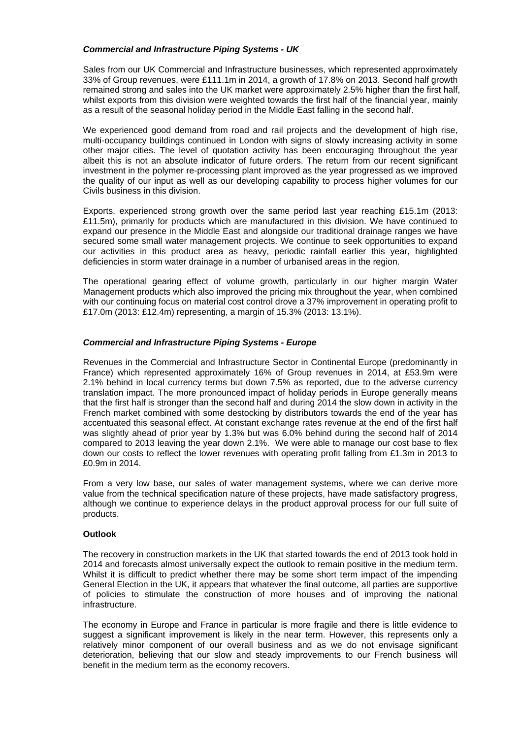### *Commercial and Infrastructure Piping Systems - UK*

Sales from our UK Commercial and Infrastructure businesses, which represented approximately 33% of Group revenues, were £111.1m in 2014, a growth of 17.8% on 2013. Second half growth remained strong and sales into the UK market were approximately 2.5% higher than the first half, whilst exports from this division were weighted towards the first half of the financial year, mainly as a result of the seasonal holiday period in the Middle East falling in the second half.

We experienced good demand from road and rail projects and the development of high rise, multi-occupancy buildings continued in London with signs of slowly increasing activity in some other major cities. The level of quotation activity has been encouraging throughout the year albeit this is not an absolute indicator of future orders. The return from our recent significant investment in the polymer re-processing plant improved as the year progressed as we improved the quality of our input as well as our developing capability to process higher volumes for our Civils business in this division.

Exports, experienced strong growth over the same period last year reaching £15.1m (2013: £11.5m), primarily for products which are manufactured in this division. We have continued to expand our presence in the Middle East and alongside our traditional drainage ranges we have secured some small water management projects. We continue to seek opportunities to expand our activities in this product area as heavy, periodic rainfall earlier this year, highlighted deficiencies in storm water drainage in a number of urbanised areas in the region.

The operational gearing effect of volume growth, particularly in our higher margin Water Management products which also improved the pricing mix throughout the year, when combined with our continuing focus on material cost control drove a 37% improvement in operating profit to £17.0m (2013: £12.4m) representing, a margin of 15.3% (2013: 13.1%).

### *Commercial and Infrastructure Piping Systems - Europe*

Revenues in the Commercial and Infrastructure Sector in Continental Europe (predominantly in France) which represented approximately 16% of Group revenues in 2014, at £53.9m were 2.1% behind in local currency terms but down 7.5% as reported, due to the adverse currency translation impact. The more pronounced impact of holiday periods in Europe generally means that the first half is stronger than the second half and during 2014 the slow down in activity in the French market combined with some destocking by distributors towards the end of the year has accentuated this seasonal effect. At constant exchange rates revenue at the end of the first half was slightly ahead of prior year by 1.3% but was 6.0% behind during the second half of 2014 compared to 2013 leaving the year down 2.1%. We were able to manage our cost base to flex down our costs to reflect the lower revenues with operating profit falling from £1.3m in 2013 to £0.9m in 2014.

From a very low base, our sales of water management systems, where we can derive more value from the technical specification nature of these projects, have made satisfactory progress, although we continue to experience delays in the product approval process for our full suite of products.

#### **Outlook**

The recovery in construction markets in the UK that started towards the end of 2013 took hold in 2014 and forecasts almost universally expect the outlook to remain positive in the medium term. Whilst it is difficult to predict whether there may be some short term impact of the impending General Election in the UK, it appears that whatever the final outcome, all parties are supportive of policies to stimulate the construction of more houses and of improving the national infrastructure.

The economy in Europe and France in particular is more fragile and there is little evidence to suggest a significant improvement is likely in the near term. However, this represents only a relatively minor component of our overall business and as we do not envisage significant deterioration, believing that our slow and steady improvements to our French business will benefit in the medium term as the economy recovers.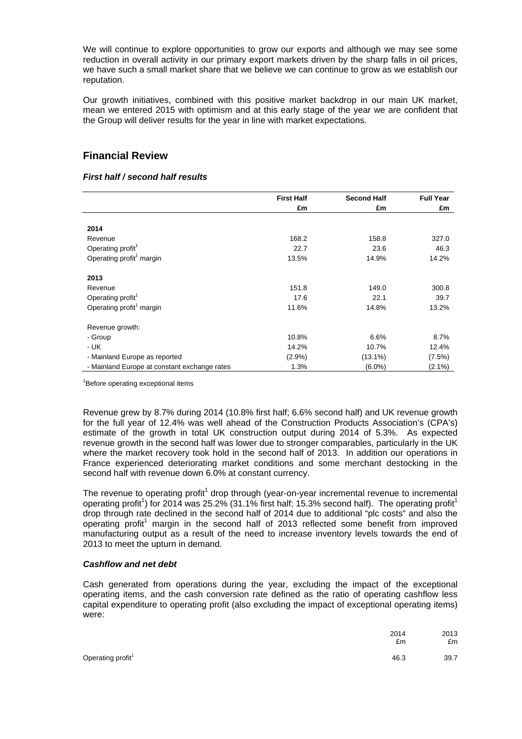We will continue to explore opportunities to grow our exports and although we may see some reduction in overall activity in our primary export markets driven by the sharp falls in oil prices, we have such a small market share that we believe we can continue to grow as we establish our reputation.

Our growth initiatives, combined with this positive market backdrop in our main UK market, mean we entered 2015 with optimism and at this early stage of the year we are confident that the Group will deliver results for the year in line with market expectations.

# **Financial Review**

## *First half / second half results*

|                                              | <b>First Half</b> | <b>Second Half</b> | <b>Full Year</b> |
|----------------------------------------------|-------------------|--------------------|------------------|
|                                              | £m                | £m                 | £m               |
|                                              |                   |                    |                  |
| 2014                                         |                   |                    |                  |
| Revenue                                      | 168.2             | 158.8              | 327.0            |
| Operating profit <sup>1</sup>                | 22.7              | 23.6               | 46.3             |
| Operating profit <sup>1</sup> margin         | 13.5%             | 14.9%              | 14.2%            |
|                                              |                   |                    |                  |
| 2013                                         |                   |                    |                  |
| Revenue                                      | 151.8             | 149.0              | 300.8            |
| Operating profit <sup>1</sup>                | 17.6              | 22.1               | 39.7             |
| Operating profit <sup>1</sup> margin         | 11.6%             | 14.8%              | 13.2%            |
|                                              |                   |                    |                  |
| Revenue growth:                              |                   |                    |                  |
| - Group                                      | 10.8%             | 6.6%               | 8.7%             |
| - UK                                         | 14.2%             | 10.7%              | 12.4%            |
| - Mainland Europe as reported                | $(2.9\%)$         | $(13.1\%)$         | $(7.5\%)$        |
| - Mainland Europe at constant exchange rates | 1.3%              | $(6.0\%)$          | $(2.1\%)$        |

<sup>1</sup>Before operating exceptional items

Revenue grew by 8.7% during 2014 (10.8% first half; 6.6% second half) and UK revenue growth for the full year of 12.4% was well ahead of the Construction Products Association's (CPA's) estimate of the growth in total UK construction output during 2014 of 5.3%. As expected revenue growth in the second half was lower due to stronger comparables, particularly in the UK where the market recovery took hold in the second half of 2013. In addition our operations in France experienced deteriorating market conditions and some merchant destocking in the second half with revenue down 6.0% at constant currency.

The revenue to operating profit<sup>1</sup> drop through (year-on-year incremental revenue to incremental operating profit<sup>1</sup>) for 2014 was 25.2% (31.1% first half; 15.3% second half). The operating profit<sup>1</sup> drop through rate declined in the second half of 2014 due to additional "plc costs" and also the operating profit<sup>1</sup> margin in the second half of 2013 reflected some benefit from improved manufacturing output as a result of the need to increase inventory levels towards the end of 2013 to meet the upturn in demand.

#### *Cashflow and net debt*

Cash generated from operations during the year, excluding the impact of the exceptional operating items, and the cash conversion rate defined as the ratio of operating cashflow less capital expenditure to operating profit (also excluding the impact of exceptional operating items) were:

|                               | 2014<br>£m | 2013<br>£m |
|-------------------------------|------------|------------|
| Operating profit <sup>1</sup> | 46.3       | 39.7       |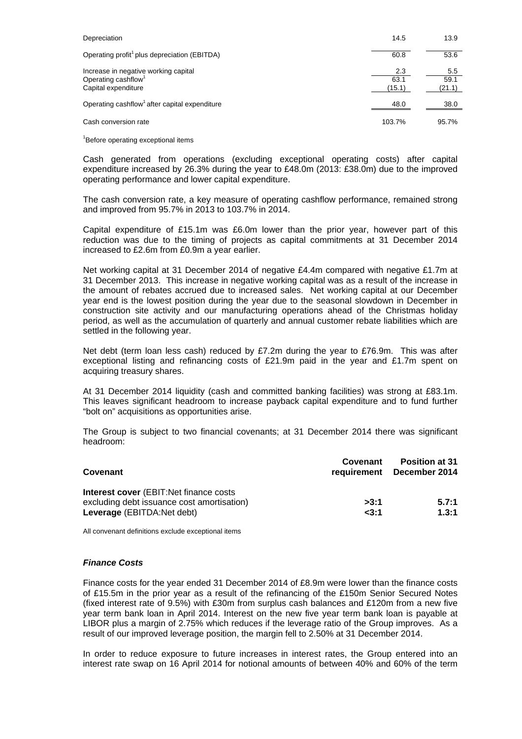| Depreciation                                                                                   | 14.5                  | 13.9                  |
|------------------------------------------------------------------------------------------------|-----------------------|-----------------------|
| Operating profit <sup>1</sup> plus depreciation (EBITDA)                                       | 60.8                  | 53.6                  |
| Increase in negative working capital<br>Operating cashflow <sup>1</sup><br>Capital expenditure | 2.3<br>63.1<br>(15.1) | 5.5<br>59.1<br>(21.1) |
| Operating cashflow <sup>1</sup> after capital expenditure                                      | 48.0                  | 38.0                  |
| Cash conversion rate                                                                           | 103.7%                | 95.7%                 |

<sup>1</sup>Before operating exceptional items

Cash generated from operations (excluding exceptional operating costs) after capital expenditure increased by 26.3% during the year to £48.0m (2013: £38.0m) due to the improved operating performance and lower capital expenditure.

The cash conversion rate, a key measure of operating cashflow performance, remained strong and improved from 95.7% in 2013 to 103.7% in 2014.

Capital expenditure of £15.1m was £6.0m lower than the prior year, however part of this reduction was due to the timing of projects as capital commitments at 31 December 2014 increased to £2.6m from £0.9m a year earlier.

Net working capital at 31 December 2014 of negative £4.4m compared with negative £1.7m at 31 December 2013. This increase in negative working capital was as a result of the increase in the amount of rebates accrued due to increased sales. Net working capital at our December year end is the lowest position during the year due to the seasonal slowdown in December in construction site activity and our manufacturing operations ahead of the Christmas holiday period, as well as the accumulation of quarterly and annual customer rebate liabilities which are settled in the following year.

Net debt (term loan less cash) reduced by £7.2m during the year to £76.9m. This was after exceptional listing and refinancing costs of £21.9m paid in the year and £1.7m spent on acquiring treasury shares.

At 31 December 2014 liquidity (cash and committed banking facilities) was strong at £83.1m. This leaves significant headroom to increase payback capital expenditure and to fund further "bolt on" acquisitions as opportunities arise.

The Group is subject to two financial covenants; at 31 December 2014 there was significant headroom:

| Covenant                                                                                                                  | Covenant<br>requirement | <b>Position at 31</b><br><b>December 2014</b> |
|---------------------------------------------------------------------------------------------------------------------------|-------------------------|-----------------------------------------------|
| <b>Interest cover</b> (EBIT:Net finance costs<br>excluding debt issuance cost amortisation)<br>Leverage (EBITDA:Net debt) | >3:1<br>23:1            | 5.7:1<br>1.3:1                                |

All convenant definitions exclude exceptional items

#### *Finance Costs*

Finance costs for the year ended 31 December 2014 of £8.9m were lower than the finance costs of £15.5m in the prior year as a result of the refinancing of the £150m Senior Secured Notes (fixed interest rate of 9.5%) with £30m from surplus cash balances and £120m from a new five year term bank loan in April 2014. Interest on the new five year term bank loan is payable at LIBOR plus a margin of 2.75% which reduces if the leverage ratio of the Group improves. As a result of our improved leverage position, the margin fell to 2.50% at 31 December 2014.

In order to reduce exposure to future increases in interest rates, the Group entered into an interest rate swap on 16 April 2014 for notional amounts of between 40% and 60% of the term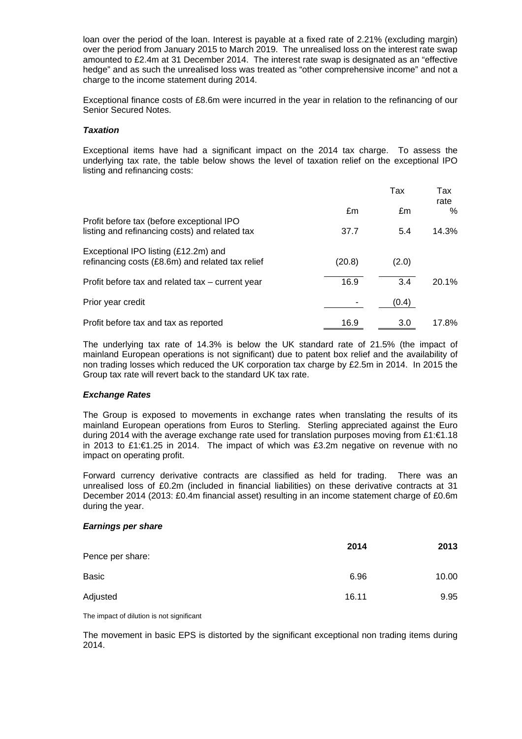loan over the period of the loan. Interest is payable at a fixed rate of 2.21% (excluding margin) over the period from January 2015 to March 2019. The unrealised loss on the interest rate swap amounted to £2.4m at 31 December 2014. The interest rate swap is designated as an "effective hedge" and as such the unrealised loss was treated as "other comprehensive income" and not a charge to the income statement during 2014.

Exceptional finance costs of £8.6m were incurred in the year in relation to the refinancing of our Senior Secured Notes.

#### *Taxation*

Exceptional items have had a significant impact on the 2014 tax charge. To assess the underlying tax rate, the table below shows the level of taxation relief on the exceptional IPO listing and refinancing costs:

|                                                                                          |        | Tax   | Tax<br>rate |
|------------------------------------------------------------------------------------------|--------|-------|-------------|
| Profit before tax (before exceptional IPO                                                | £m     | £m    | ℅           |
| listing and refinancing costs) and related tax                                           | 37.7   | 5.4   | 14.3%       |
| Exceptional IPO listing (£12.2m) and<br>refinancing costs (£8.6m) and related tax relief | (20.8) | (2.0) |             |
| Profit before tax and related tax – current year                                         | 16.9   | 3.4   | 20.1%       |
| Prior year credit                                                                        |        | (0.4) |             |
| Profit before tax and tax as reported                                                    | 16.9   | 3.0   | 17.8%       |

The underlying tax rate of 14.3% is below the UK standard rate of 21.5% (the impact of mainland European operations is not significant) due to patent box relief and the availability of non trading losses which reduced the UK corporation tax charge by £2.5m in 2014. In 2015 the Group tax rate will revert back to the standard UK tax rate.

#### *Exchange Rates*

The Group is exposed to movements in exchange rates when translating the results of its mainland European operations from Euros to Sterling. Sterling appreciated against the Euro during 2014 with the average exchange rate used for translation purposes moving from £1:€1.18 in 2013 to £1:€1.25 in 2014. The impact of which was £3.2m negative on revenue with no impact on operating profit.

Forward currency derivative contracts are classified as held for trading. There was an unrealised loss of £0.2m (included in financial liabilities) on these derivative contracts at 31 December 2014 (2013: £0.4m financial asset) resulting in an income statement charge of £0.6m during the year.

#### *Earnings per share*

| Pence per share: | 2014  | 2013  |
|------------------|-------|-------|
| <b>Basic</b>     | 6.96  | 10.00 |
| Adjusted         | 16.11 | 9.95  |

The impact of dilution is not significant

The movement in basic EPS is distorted by the significant exceptional non trading items during 2014.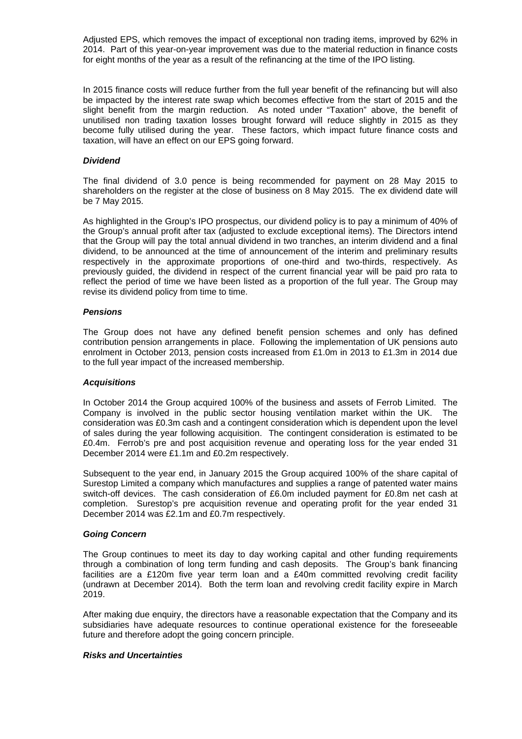Adjusted EPS, which removes the impact of exceptional non trading items, improved by 62% in 2014. Part of this year-on-year improvement was due to the material reduction in finance costs for eight months of the year as a result of the refinancing at the time of the IPO listing.

In 2015 finance costs will reduce further from the full year benefit of the refinancing but will also be impacted by the interest rate swap which becomes effective from the start of 2015 and the slight benefit from the margin reduction. As noted under "Taxation" above, the benefit of unutilised non trading taxation losses brought forward will reduce slightly in 2015 as they become fully utilised during the year. These factors, which impact future finance costs and taxation, will have an effect on our EPS going forward.

#### *Dividend*

The final dividend of 3.0 pence is being recommended for payment on 28 May 2015 to shareholders on the register at the close of business on 8 May 2015. The ex dividend date will be 7 May 2015.

As highlighted in the Group's IPO prospectus, our dividend policy is to pay a minimum of 40% of the Group's annual profit after tax (adjusted to exclude exceptional items). The Directors intend that the Group will pay the total annual dividend in two tranches, an interim dividend and a final dividend, to be announced at the time of announcement of the interim and preliminary results respectively in the approximate proportions of one-third and two-thirds, respectively. As previously guided, the dividend in respect of the current financial year will be paid pro rata to reflect the period of time we have been listed as a proportion of the full year. The Group may revise its dividend policy from time to time.

#### *Pensions*

The Group does not have any defined benefit pension schemes and only has defined contribution pension arrangements in place. Following the implementation of UK pensions auto enrolment in October 2013, pension costs increased from £1.0m in 2013 to £1.3m in 2014 due to the full year impact of the increased membership.

#### *Acquisitions*

In October 2014 the Group acquired 100% of the business and assets of Ferrob Limited. The Company is involved in the public sector housing ventilation market within the UK. The consideration was £0.3m cash and a contingent consideration which is dependent upon the level of sales during the year following acquisition. The contingent consideration is estimated to be £0.4m. Ferrob's pre and post acquisition revenue and operating loss for the year ended 31 December 2014 were £1.1m and £0.2m respectively.

Subsequent to the year end, in January 2015 the Group acquired 100% of the share capital of Surestop Limited a company which manufactures and supplies a range of patented water mains switch-off devices. The cash consideration of £6.0m included payment for £0.8m net cash at completion. Surestop's pre acquisition revenue and operating profit for the year ended 31 December 2014 was £2.1m and £0.7m respectively.

#### *Going Concern*

The Group continues to meet its day to day working capital and other funding requirements through a combination of long term funding and cash deposits. The Group's bank financing facilities are a £120m five year term loan and a £40m committed revolving credit facility (undrawn at December 2014). Both the term loan and revolving credit facility expire in March 2019.

After making due enquiry, the directors have a reasonable expectation that the Company and its subsidiaries have adequate resources to continue operational existence for the foreseeable future and therefore adopt the going concern principle.

#### *Risks and Uncertainties*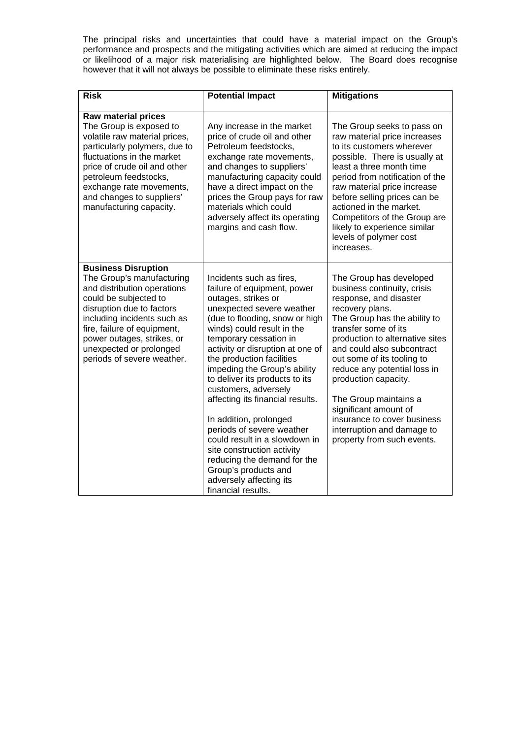The principal risks and uncertainties that could have a material impact on the Group's performance and prospects and the mitigating activities which are aimed at reducing the impact or likelihood of a major risk materialising are highlighted below. The Board does recognise however that it will not always be possible to eliminate these risks entirely.

| <b>Risk</b>                                                                                                                                                                                                                                                                                        | <b>Potential Impact</b>                                                                                                                                                                                                                                                                                                                                                                                                                                                                                                                                                                                                            | <b>Mitigations</b>                                                                                                                                                                                                                                                                                                                                                                                                                                              |
|----------------------------------------------------------------------------------------------------------------------------------------------------------------------------------------------------------------------------------------------------------------------------------------------------|------------------------------------------------------------------------------------------------------------------------------------------------------------------------------------------------------------------------------------------------------------------------------------------------------------------------------------------------------------------------------------------------------------------------------------------------------------------------------------------------------------------------------------------------------------------------------------------------------------------------------------|-----------------------------------------------------------------------------------------------------------------------------------------------------------------------------------------------------------------------------------------------------------------------------------------------------------------------------------------------------------------------------------------------------------------------------------------------------------------|
| <b>Raw material prices</b><br>The Group is exposed to<br>volatile raw material prices,<br>particularly polymers, due to<br>fluctuations in the market<br>price of crude oil and other<br>petroleum feedstocks,<br>exchange rate movements,<br>and changes to suppliers'<br>manufacturing capacity. | Any increase in the market<br>price of crude oil and other<br>Petroleum feedstocks,<br>exchange rate movements,<br>and changes to suppliers'<br>manufacturing capacity could<br>have a direct impact on the<br>prices the Group pays for raw<br>materials which could<br>adversely affect its operating<br>margins and cash flow.                                                                                                                                                                                                                                                                                                  | The Group seeks to pass on<br>raw material price increases<br>to its customers wherever<br>possible. There is usually at<br>least a three month time<br>period from notification of the<br>raw material price increase<br>before selling prices can be<br>actioned in the market.<br>Competitors of the Group are<br>likely to experience similar<br>levels of polymer cost<br>increases.                                                                       |
| <b>Business Disruption</b><br>The Group's manufacturing<br>and distribution operations<br>could be subjected to<br>disruption due to factors<br>including incidents such as<br>fire, failure of equipment,<br>power outages, strikes, or<br>unexpected or prolonged<br>periods of severe weather.  | Incidents such as fires,<br>failure of equipment, power<br>outages, strikes or<br>unexpected severe weather<br>(due to flooding, snow or high<br>winds) could result in the<br>temporary cessation in<br>activity or disruption at one of<br>the production facilities<br>impeding the Group's ability<br>to deliver its products to its<br>customers, adversely<br>affecting its financial results.<br>In addition, prolonged<br>periods of severe weather<br>could result in a slowdown in<br>site construction activity<br>reducing the demand for the<br>Group's products and<br>adversely affecting its<br>financial results. | The Group has developed<br>business continuity, crisis<br>response, and disaster<br>recovery plans.<br>The Group has the ability to<br>transfer some of its<br>production to alternative sites<br>and could also subcontract<br>out some of its tooling to<br>reduce any potential loss in<br>production capacity.<br>The Group maintains a<br>significant amount of<br>insurance to cover business<br>interruption and damage to<br>property from such events. |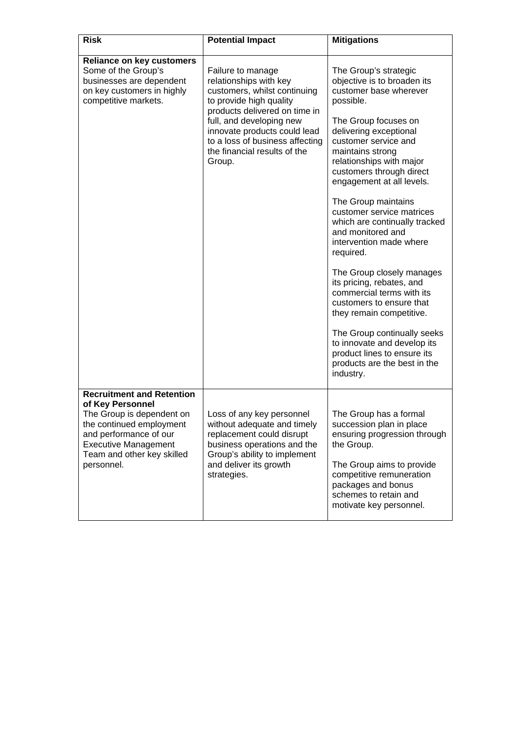| Risk                                                                                                                                                                                                               | <b>Potential Impact</b>                                                                                                                                                                                                                                                          | <b>Mitigations</b>                                                                                                                                                                                                                                                                                                                                                                                                                                                                                                                                                                                                                                                                                                        |
|--------------------------------------------------------------------------------------------------------------------------------------------------------------------------------------------------------------------|----------------------------------------------------------------------------------------------------------------------------------------------------------------------------------------------------------------------------------------------------------------------------------|---------------------------------------------------------------------------------------------------------------------------------------------------------------------------------------------------------------------------------------------------------------------------------------------------------------------------------------------------------------------------------------------------------------------------------------------------------------------------------------------------------------------------------------------------------------------------------------------------------------------------------------------------------------------------------------------------------------------------|
| <b>Reliance on key customers</b><br>Some of the Group's<br>businesses are dependent<br>on key customers in highly<br>competitive markets.                                                                          | Failure to manage<br>relationships with key<br>customers, whilst continuing<br>to provide high quality<br>products delivered on time in<br>full, and developing new<br>innovate products could lead<br>to a loss of business affecting<br>the financial results of the<br>Group. | The Group's strategic<br>objective is to broaden its<br>customer base wherever<br>possible.<br>The Group focuses on<br>delivering exceptional<br>customer service and<br>maintains strong<br>relationships with major<br>customers through direct<br>engagement at all levels.<br>The Group maintains<br>customer service matrices<br>which are continually tracked<br>and monitored and<br>intervention made where<br>required.<br>The Group closely manages<br>its pricing, rebates, and<br>commercial terms with its<br>customers to ensure that<br>they remain competitive.<br>The Group continually seeks<br>to innovate and develop its<br>product lines to ensure its<br>products are the best in the<br>industry. |
| <b>Recruitment and Retention</b><br>of Key Personnel<br>The Group is dependent on<br>the continued employment<br>and performance of our<br><b>Executive Management</b><br>Team and other key skilled<br>personnel. | Loss of any key personnel<br>without adequate and timely<br>replacement could disrupt<br>business operations and the<br>Group's ability to implement<br>and deliver its growth<br>strategies.                                                                                    | The Group has a formal<br>succession plan in place<br>ensuring progression through<br>the Group.<br>The Group aims to provide<br>competitive remuneration<br>packages and bonus<br>schemes to retain and<br>motivate key personnel.                                                                                                                                                                                                                                                                                                                                                                                                                                                                                       |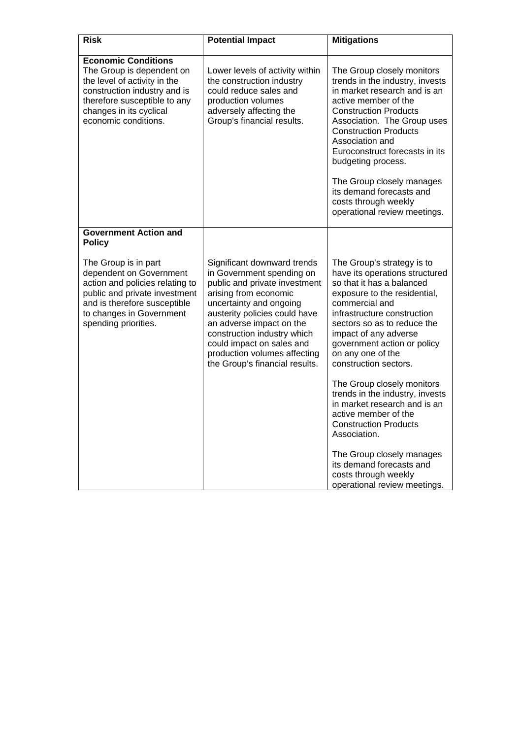| <b>Risk</b>                                                                                                                                                                                                | <b>Potential Impact</b>                                                                                                                                                                                                                                                                                                                  | <b>Mitigations</b>                                                                                                                                                                                                                                                                                                                                                                                                                                                                                                                                |
|------------------------------------------------------------------------------------------------------------------------------------------------------------------------------------------------------------|------------------------------------------------------------------------------------------------------------------------------------------------------------------------------------------------------------------------------------------------------------------------------------------------------------------------------------------|---------------------------------------------------------------------------------------------------------------------------------------------------------------------------------------------------------------------------------------------------------------------------------------------------------------------------------------------------------------------------------------------------------------------------------------------------------------------------------------------------------------------------------------------------|
| <b>Economic Conditions</b><br>The Group is dependent on<br>the level of activity in the<br>construction industry and is<br>therefore susceptible to any<br>changes in its cyclical<br>economic conditions. | Lower levels of activity within<br>the construction industry<br>could reduce sales and<br>production volumes<br>adversely affecting the<br>Group's financial results.                                                                                                                                                                    | The Group closely monitors<br>trends in the industry, invests<br>in market research and is an<br>active member of the<br><b>Construction Products</b><br>Association. The Group uses<br><b>Construction Products</b><br>Association and<br>Euroconstruct forecasts in its<br>budgeting process.                                                                                                                                                                                                                                                   |
|                                                                                                                                                                                                            |                                                                                                                                                                                                                                                                                                                                          | The Group closely manages<br>its demand forecasts and<br>costs through weekly<br>operational review meetings.                                                                                                                                                                                                                                                                                                                                                                                                                                     |
| <b>Government Action and</b><br><b>Policy</b>                                                                                                                                                              |                                                                                                                                                                                                                                                                                                                                          |                                                                                                                                                                                                                                                                                                                                                                                                                                                                                                                                                   |
| The Group is in part<br>dependent on Government<br>action and policies relating to<br>public and private investment<br>and is therefore susceptible<br>to changes in Government<br>spending priorities.    | Significant downward trends<br>in Government spending on<br>public and private investment<br>arising from economic<br>uncertainty and ongoing<br>austerity policies could have<br>an adverse impact on the<br>construction industry which<br>could impact on sales and<br>production volumes affecting<br>the Group's financial results. | The Group's strategy is to<br>have its operations structured<br>so that it has a balanced<br>exposure to the residential,<br>commercial and<br>infrastructure construction<br>sectors so as to reduce the<br>impact of any adverse<br>government action or policy<br>on any one of the<br>construction sectors.<br>The Group closely monitors<br>trends in the industry, invests<br>in market research and is an<br>active member of the<br><b>Construction Products</b><br>Association.<br>The Group closely manages<br>its demand forecasts and |
|                                                                                                                                                                                                            |                                                                                                                                                                                                                                                                                                                                          | costs through weekly<br>operational review meetings.                                                                                                                                                                                                                                                                                                                                                                                                                                                                                              |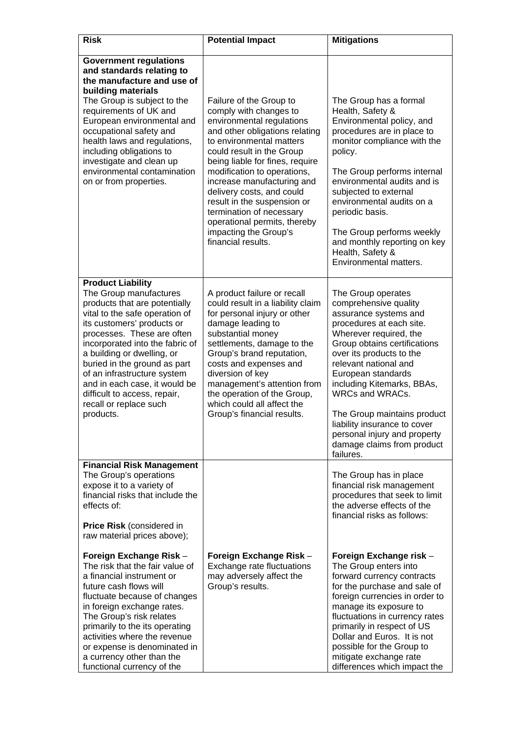| <b>Risk</b>                                                                                                                                                                                                                                                                                                                                                                                                               | <b>Potential Impact</b>                                                                                                                                                                                                                                                                                                                                                                                                                          | <b>Mitigations</b>                                                                                                                                                                                                                                                                                                                                                                                                                      |
|---------------------------------------------------------------------------------------------------------------------------------------------------------------------------------------------------------------------------------------------------------------------------------------------------------------------------------------------------------------------------------------------------------------------------|--------------------------------------------------------------------------------------------------------------------------------------------------------------------------------------------------------------------------------------------------------------------------------------------------------------------------------------------------------------------------------------------------------------------------------------------------|-----------------------------------------------------------------------------------------------------------------------------------------------------------------------------------------------------------------------------------------------------------------------------------------------------------------------------------------------------------------------------------------------------------------------------------------|
| <b>Government regulations</b><br>and standards relating to<br>the manufacture and use of<br>building materials<br>The Group is subject to the<br>requirements of UK and<br>European environmental and<br>occupational safety and<br>health laws and regulations,<br>including obligations to<br>investigate and clean up<br>environmental contamination<br>on or from properties.                                         | Failure of the Group to<br>comply with changes to<br>environmental regulations<br>and other obligations relating<br>to environmental matters<br>could result in the Group<br>being liable for fines, require<br>modification to operations,<br>increase manufacturing and<br>delivery costs, and could<br>result in the suspension or<br>termination of necessary<br>operational permits, thereby<br>impacting the Group's<br>financial results. | The Group has a formal<br>Health, Safety &<br>Environmental policy, and<br>procedures are in place to<br>monitor compliance with the<br>policy.<br>The Group performs internal<br>environmental audits and is<br>subjected to external<br>environmental audits on a<br>periodic basis.<br>The Group performs weekly<br>and monthly reporting on key<br>Health, Safety &<br>Environmental matters.                                       |
| <b>Product Liability</b><br>The Group manufactures<br>products that are potentially<br>vital to the safe operation of<br>its customers' products or<br>processes. These are often<br>incorporated into the fabric of<br>a building or dwelling, or<br>buried in the ground as part<br>of an infrastructure system<br>and in each case, it would be<br>difficult to access, repair,<br>recall or replace such<br>products. | A product failure or recall<br>could result in a liability claim<br>for personal injury or other<br>damage leading to<br>substantial money<br>settlements, damage to the<br>Group's brand reputation,<br>costs and expenses and<br>diversion of key<br>management's attention from<br>the operation of the Group,<br>which could all affect the<br>Group's financial results.                                                                    | The Group operates<br>comprehensive quality<br>assurance systems and<br>procedures at each site.<br>Wherever required, the<br>Group obtains certifications<br>over its products to the<br>relevant national and<br>European standards<br>including Kitemarks, BBAs,<br><b>WRCs and WRACs.</b><br>The Group maintains product<br>liability insurance to cover<br>personal injury and property<br>damage claims from product<br>failures. |
| <b>Financial Risk Management</b><br>The Group's operations<br>expose it to a variety of<br>financial risks that include the<br>effects of:<br><b>Price Risk (considered in</b><br>raw material prices above);                                                                                                                                                                                                             |                                                                                                                                                                                                                                                                                                                                                                                                                                                  | The Group has in place<br>financial risk management<br>procedures that seek to limit<br>the adverse effects of the<br>financial risks as follows:                                                                                                                                                                                                                                                                                       |
| Foreign Exchange Risk-<br>The risk that the fair value of<br>a financial instrument or<br>future cash flows will<br>fluctuate because of changes<br>in foreign exchange rates.<br>The Group's risk relates<br>primarily to the its operating<br>activities where the revenue<br>or expense is denominated in<br>a currency other than the<br>functional currency of the                                                   | Foreign Exchange Risk-<br>Exchange rate fluctuations<br>may adversely affect the<br>Group's results.                                                                                                                                                                                                                                                                                                                                             | Foreign Exchange risk -<br>The Group enters into<br>forward currency contracts<br>for the purchase and sale of<br>foreign currencies in order to<br>manage its exposure to<br>fluctuations in currency rates<br>primarily in respect of US<br>Dollar and Euros. It is not<br>possible for the Group to<br>mitigate exchange rate<br>differences which impact the                                                                        |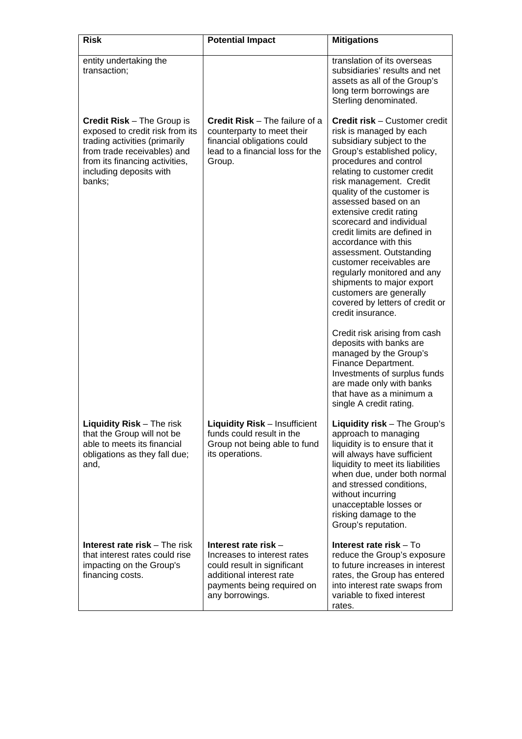| <b>Risk</b>                                                                                                                                                                                                 | <b>Potential Impact</b>                                                                                                                                         | <b>Mitigations</b>                                                                                                                                                                                                                                                                                                                                                                                                                                                                                                                                                                                                                                                                                                                                                                                                         |
|-------------------------------------------------------------------------------------------------------------------------------------------------------------------------------------------------------------|-----------------------------------------------------------------------------------------------------------------------------------------------------------------|----------------------------------------------------------------------------------------------------------------------------------------------------------------------------------------------------------------------------------------------------------------------------------------------------------------------------------------------------------------------------------------------------------------------------------------------------------------------------------------------------------------------------------------------------------------------------------------------------------------------------------------------------------------------------------------------------------------------------------------------------------------------------------------------------------------------------|
| entity undertaking the<br>transaction;                                                                                                                                                                      |                                                                                                                                                                 | translation of its overseas<br>subsidiaries' results and net<br>assets as all of the Group's<br>long term borrowings are<br>Sterling denominated.                                                                                                                                                                                                                                                                                                                                                                                                                                                                                                                                                                                                                                                                          |
| <b>Credit Risk - The Group is</b><br>exposed to credit risk from its<br>trading activities (primarily<br>from trade receivables) and<br>from its financing activities,<br>including deposits with<br>banks; | Credit Risk - The failure of a<br>counterparty to meet their<br>financial obligations could<br>lead to a financial loss for the<br>Group.                       | <b>Credit risk - Customer credit</b><br>risk is managed by each<br>subsidiary subject to the<br>Group's established policy,<br>procedures and control<br>relating to customer credit<br>risk management. Credit<br>quality of the customer is<br>assessed based on an<br>extensive credit rating<br>scorecard and individual<br>credit limits are defined in<br>accordance with this<br>assessment. Outstanding<br>customer receivables are<br>regularly monitored and any<br>shipments to major export<br>customers are generally<br>covered by letters of credit or<br>credit insurance.<br>Credit risk arising from cash<br>deposits with banks are<br>managed by the Group's<br>Finance Department.<br>Investments of surplus funds<br>are made only with banks<br>that have as a minimum a<br>single A credit rating. |
| <b>Liquidity Risk - The risk</b><br>that the Group will not be<br>able to meets its financial<br>obligations as they fall due;<br>and,                                                                      | <b>Liquidity Risk - Insufficient</b><br>funds could result in the<br>Group not being able to fund<br>its operations.                                            | <b>Liquidity risk</b> $-$ The Group's<br>approach to managing<br>liquidity is to ensure that it<br>will always have sufficient<br>liquidity to meet its liabilities<br>when due, under both normal<br>and stressed conditions,<br>without incurring<br>unacceptable losses or<br>risking damage to the<br>Group's reputation.                                                                                                                                                                                                                                                                                                                                                                                                                                                                                              |
| <b>Interest rate risk</b> – The risk<br>that interest rates could rise<br>impacting on the Group's<br>financing costs.                                                                                      | Interest rate risk -<br>Increases to interest rates<br>could result in significant<br>additional interest rate<br>payments being required on<br>any borrowings. | Interest rate risk $-$ To<br>reduce the Group's exposure<br>to future increases in interest<br>rates, the Group has entered<br>into interest rate swaps from<br>variable to fixed interest<br>rates.                                                                                                                                                                                                                                                                                                                                                                                                                                                                                                                                                                                                                       |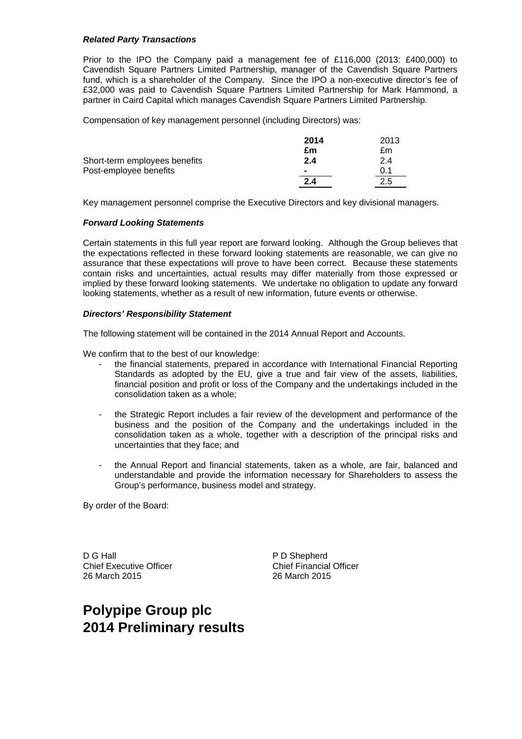### *Related Party Transactions*

Prior to the IPO the Company paid a management fee of £116,000 (2013: £400,000) to Cavendish Square Partners Limited Partnership, manager of the Cavendish Square Partners fund, which is a shareholder of the Company. Since the IPO a non-executive director's fee of £32,000 was paid to Cavendish Square Partners Limited Partnership for Mark Hammond, a partner in Caird Capital which manages Cavendish Square Partners Limited Partnership.

Compensation of key management personnel (including Directors) was:

|                               | 2014   | 2013 |
|-------------------------------|--------|------|
|                               | £m     | £m   |
| Short-term employees benefits | 2.4    | 2.4  |
| Post-employee benefits        | $\sim$ | 0.1  |
|                               | 2.4    | 2.5  |

Key management personnel comprise the Executive Directors and key divisional managers.

### *Forward Looking Statements*

Certain statements in this full year report are forward looking. Although the Group believes that the expectations reflected in these forward looking statements are reasonable, we can give no assurance that these expectations will prove to have been correct. Because these statements contain risks and uncertainties, actual results may differ materially from those expressed or implied by these forward looking statements. We undertake no obligation to update any forward looking statements, whether as a result of new information, future events or otherwise.

### *Directors' Responsibility Statement*

The following statement will be contained in the 2014 Annual Report and Accounts.

We confirm that to the best of our knowledge:

- the financial statements, prepared in accordance with International Financial Reporting Standards as adopted by the EU, give a true and fair view of the assets, liabilities, financial position and profit or loss of the Company and the undertakings included in the consolidation taken as a whole;
- the Strategic Report includes a fair review of the development and performance of the business and the position of the Company and the undertakings included in the consolidation taken as a whole, together with a description of the principal risks and uncertainties that they face; and
- the Annual Report and financial statements, taken as a whole, are fair, balanced and understandable and provide the information necessary for Shareholders to assess the Group's performance, business model and strategy.

By order of the Board:

D G Hall P D Shepherd Chief Executive Officer Chief Financial Officer 26 March 2015 26 March 2015

# **Polypipe Group plc 2014 Preliminary results**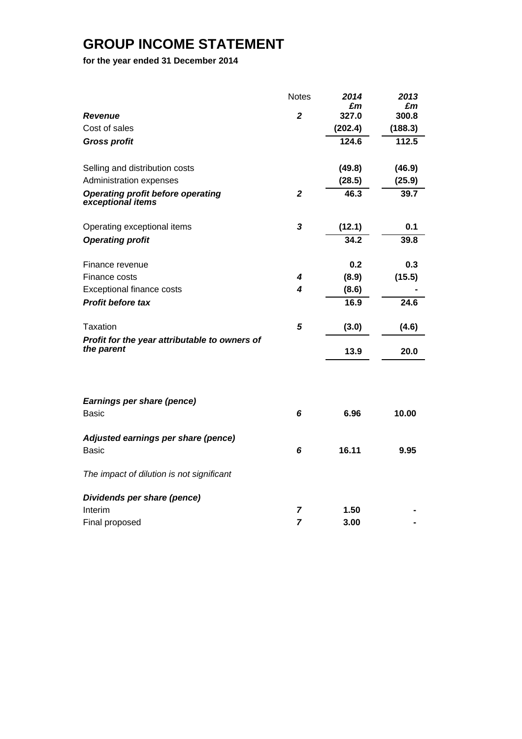# **GROUP INCOME STATEMENT**

**for the year ended 31 December 2014** 

|                                                               | <b>Notes</b>            | 2014<br>£m   | 2013<br>£m |
|---------------------------------------------------------------|-------------------------|--------------|------------|
| Revenue                                                       | $\overline{\mathbf{2}}$ | 327.0        | 300.8      |
| Cost of sales                                                 |                         | (202.4)      | (188.3)    |
| <b>Gross profit</b>                                           |                         | 124.6        | 112.5      |
| Selling and distribution costs                                |                         | (49.8)       | (46.9)     |
| Administration expenses                                       |                         | (28.5)       | (25.9)     |
| <b>Operating profit before operating</b><br>exceptional items | $\overline{\mathbf{2}}$ | 46.3         | 39.7       |
| Operating exceptional items                                   | 3                       | (12.1)       | 0.1        |
| <b>Operating profit</b>                                       |                         | 34.2         | 39.8       |
| Finance revenue                                               |                         | 0.2          | 0.3        |
| Finance costs                                                 | 4                       | (8.9)        | (15.5)     |
| <b>Exceptional finance costs</b>                              | 4                       | (8.6)        |            |
| <b>Profit before tax</b>                                      |                         | 16.9         | 24.6       |
| <b>Taxation</b>                                               | 5                       | (3.0)        | (4.6)      |
| Profit for the year attributable to owners of<br>the parent   |                         | 13.9         | 20.0       |
|                                                               |                         |              |            |
| Earnings per share (pence)<br>Basic                           | 6                       | 6.96         | 10.00      |
|                                                               |                         |              |            |
| Adjusted earnings per share (pence)<br><b>Basic</b>           | 6                       | 16.11        | 9.95       |
| The impact of dilution is not significant                     |                         |              |            |
| Dividends per share (pence)<br>Interim<br>Final proposed      | 7<br>$\overline{z}$     | 1.50<br>3.00 |            |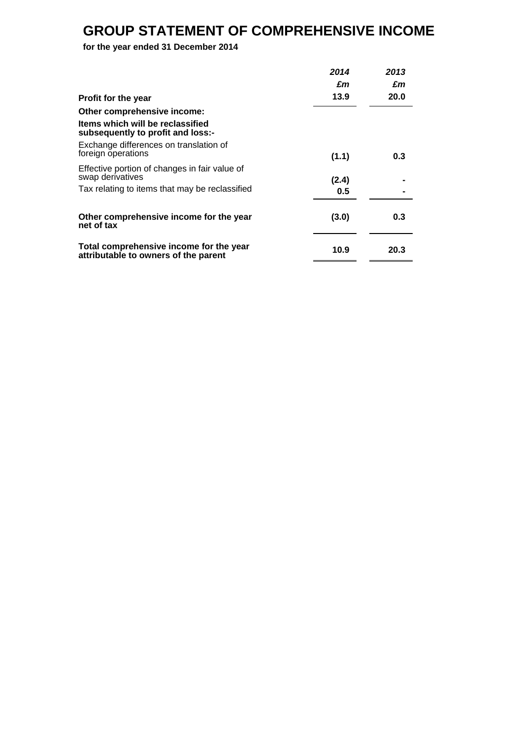# **GROUP STATEMENT OF COMPREHENSIVE INCOME**

**for the year ended 31 December 2014** 

|                                                                                 | 2014  | 2013 |
|---------------------------------------------------------------------------------|-------|------|
|                                                                                 | £m    | £m   |
| Profit for the year                                                             | 13.9  | 20.0 |
| Other comprehensive income:                                                     |       |      |
| Items which will be reclassified<br>subsequently to profit and loss:-           |       |      |
| Exchange differences on translation of<br>foreign operations                    | (1.1) | 0.3  |
| Effective portion of changes in fair value of<br>swap derivatives               | (2.4) |      |
| Tax relating to items that may be reclassified                                  | 0.5   |      |
| Other comprehensive income for the year<br>net of tax                           | (3.0) | 0.3  |
| Total comprehensive income for the year<br>attributable to owners of the parent | 10.9  | 20.3 |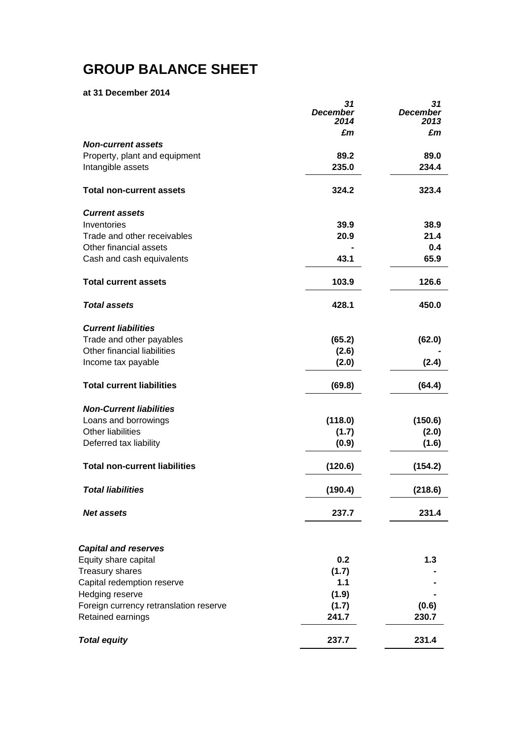# **GROUP BALANCE SHEET**

**at 31 December 2014** 

|                                        | 31<br><b>December</b><br>2014 | 31<br><b>December</b><br>2013 |
|----------------------------------------|-------------------------------|-------------------------------|
|                                        | £m                            | £m                            |
| <b>Non-current assets</b>              |                               |                               |
| Property, plant and equipment          | 89.2<br>235.0                 | 89.0                          |
| Intangible assets                      |                               | 234.4                         |
| <b>Total non-current assets</b>        | 324.2                         | 323.4                         |
| <b>Current assets</b>                  |                               |                               |
| Inventories                            | 39.9                          | 38.9                          |
| Trade and other receivables            | 20.9                          | 21.4                          |
| Other financial assets                 |                               | 0.4                           |
| Cash and cash equivalents              | 43.1                          | 65.9                          |
| <b>Total current assets</b>            | 103.9                         | 126.6                         |
| <b>Total assets</b>                    | 428.1                         | 450.0                         |
| <b>Current liabilities</b>             |                               |                               |
| Trade and other payables               | (65.2)                        | (62.0)                        |
| Other financial liabilities            | (2.6)                         |                               |
| Income tax payable                     | (2.0)                         | (2.4)                         |
| <b>Total current liabilities</b>       | (69.8)                        | (64.4)                        |
| <b>Non-Current liabilities</b>         |                               |                               |
| Loans and borrowings                   | (118.0)                       | (150.6)                       |
| <b>Other liabilities</b>               | (1.7)                         | (2.0)                         |
| Deferred tax liability                 | (0.9)                         | (1.6)                         |
| <b>Total non-current liabilities</b>   | (120.6)                       | (154.2)                       |
| <b>Total liabilities</b>               | (190.4)                       | (218.6)                       |
| <b>Net assets</b>                      | 237.7                         | 231.4                         |
| <b>Capital and reserves</b>            |                               |                               |
| Equity share capital                   | 0.2                           | $1.3$                         |
| Treasury shares                        | (1.7)                         |                               |
| Capital redemption reserve             | 1.1                           |                               |
| Hedging reserve                        | (1.9)                         |                               |
| Foreign currency retranslation reserve | (1.7)                         | (0.6)                         |
| Retained earnings                      | 241.7                         | 230.7                         |
| <b>Total equity</b>                    | 237.7                         | 231.4                         |
|                                        |                               |                               |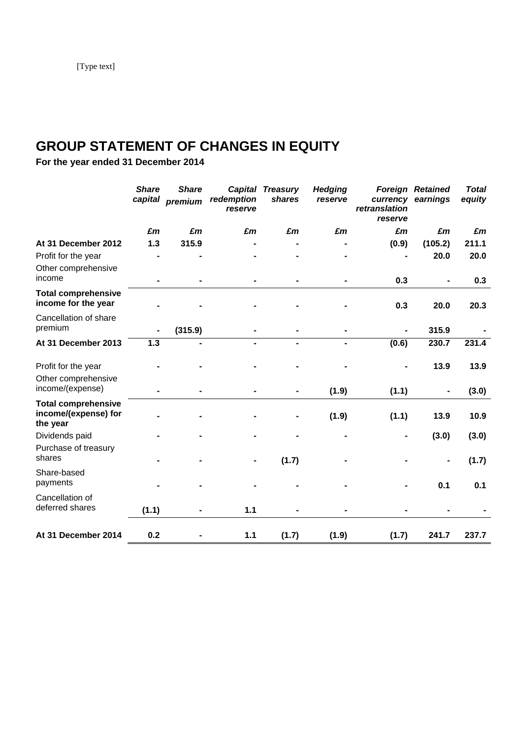# **GROUP STATEMENT OF CHANGES IN EQUITY**

**For the year ended 31 December 2014** 

|                                                                | <b>Share</b><br>capital | <b>Share</b><br>premium | redemption<br>reserve | <b>Capital Treasury</b><br>shares | <b>Hedging</b><br>reserve | retranslation<br>reserve | <b>Foreign Retained</b><br>currency earnings | <b>Total</b><br>equity |
|----------------------------------------------------------------|-------------------------|-------------------------|-----------------------|-----------------------------------|---------------------------|--------------------------|----------------------------------------------|------------------------|
|                                                                | £m                      | £m                      | £m                    | £m                                | £m                        | £m                       | £m                                           | £m                     |
| At 31 December 2012                                            | 1.3                     | 315.9                   |                       |                                   |                           | (0.9)                    | (105.2)                                      | 211.1                  |
| Profit for the year                                            |                         |                         |                       |                                   |                           |                          | 20.0                                         | 20.0                   |
| Other comprehensive<br>income                                  |                         |                         |                       |                                   |                           | 0.3                      |                                              | 0.3                    |
| <b>Total comprehensive</b><br>income for the year              |                         |                         |                       |                                   |                           | 0.3                      | 20.0                                         | 20.3                   |
| Cancellation of share<br>premium                               |                         | (315.9)                 |                       |                                   |                           |                          | 315.9                                        |                        |
| At 31 December 2013                                            | $1.3$                   |                         |                       | $\blacksquare$                    |                           | (0.6)                    | 230.7                                        | 231.4                  |
| Profit for the year                                            |                         |                         |                       |                                   |                           |                          | 13.9                                         | 13.9                   |
| Other comprehensive<br>income/(expense)                        |                         |                         |                       |                                   | (1.9)                     | (1.1)                    | $\blacksquare$                               | (3.0)                  |
| <b>Total comprehensive</b><br>income/(expense) for<br>the year |                         |                         |                       |                                   | (1.9)                     | (1.1)                    | 13.9                                         | 10.9                   |
| Dividends paid                                                 |                         |                         |                       |                                   |                           |                          | (3.0)                                        | (3.0)                  |
| Purchase of treasury<br>shares                                 |                         |                         |                       | (1.7)                             |                           |                          |                                              | (1.7)                  |
| Share-based<br>payments                                        |                         |                         |                       |                                   |                           |                          | 0.1                                          | 0.1                    |
| Cancellation of<br>deferred shares                             | (1.1)                   |                         | $1.1$                 |                                   |                           |                          |                                              |                        |
| At 31 December 2014                                            | 0.2                     |                         | 1.1                   | (1.7)                             | (1.9)                     | (1.7)                    | 241.7                                        | 237.7                  |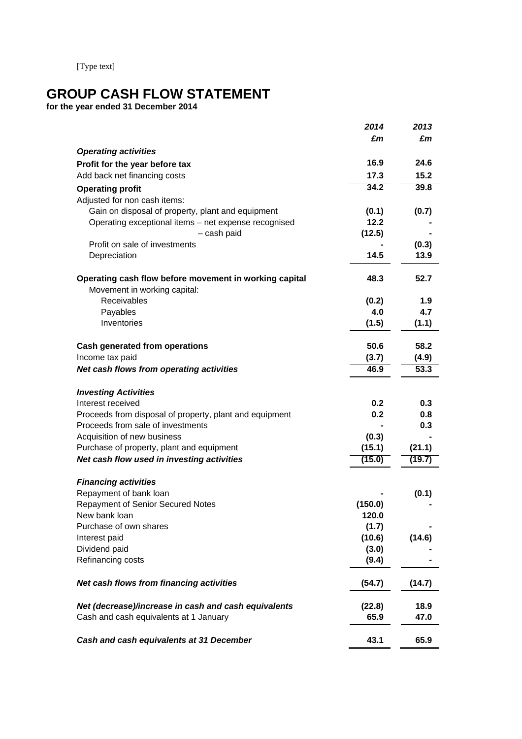# **GROUP CASH FLOW STATEMENT**

**for the year ended 31 December 2014** 

|                                                                                        | 2014    | 2013   |
|----------------------------------------------------------------------------------------|---------|--------|
|                                                                                        | £m      | £m     |
| <b>Operating activities</b>                                                            |         |        |
| Profit for the year before tax                                                         | 16.9    | 24.6   |
| Add back net financing costs                                                           | 17.3    | 15.2   |
| <b>Operating profit</b>                                                                | 34.2    | 39.8   |
| Adjusted for non cash items:                                                           |         |        |
| Gain on disposal of property, plant and equipment                                      | (0.1)   | (0.7)  |
| Operating exceptional items - net expense recognised                                   | 12.2    |        |
| - cash paid                                                                            | (12.5)  |        |
| Profit on sale of investments                                                          |         | (0.3)  |
| Depreciation                                                                           | 14.5    | 13.9   |
| Operating cash flow before movement in working capital<br>Movement in working capital: | 48.3    | 52.7   |
| Receivables                                                                            | (0.2)   | 1.9    |
| Payables                                                                               | 4.0     | 4.7    |
| Inventories                                                                            | (1.5)   | (1.1)  |
| <b>Cash generated from operations</b>                                                  | 50.6    | 58.2   |
| Income tax paid                                                                        | (3.7)   | (4.9)  |
| Net cash flows from operating activities                                               | 46.9    | 53.3   |
| <b>Investing Activities</b>                                                            |         |        |
| Interest received                                                                      | 0.2     | 0.3    |
| Proceeds from disposal of property, plant and equipment                                | 0.2     | 0.8    |
| Proceeds from sale of investments                                                      |         | 0.3    |
| Acquisition of new business                                                            | (0.3)   |        |
| Purchase of property, plant and equipment                                              | (15.1)  | (21.1) |
| Net cash flow used in investing activities                                             | (15.0)  | (19.7) |
| <b>Financing activities</b>                                                            |         |        |
| Repayment of bank loan                                                                 |         | (0.1)  |
| Repayment of Senior Secured Notes                                                      | (150.0) |        |
| New bank loan                                                                          | 120.0   |        |
| Purchase of own shares                                                                 | (1.7)   |        |
| Interest paid                                                                          | (10.6)  | (14.6) |
| Dividend paid                                                                          | (3.0)   |        |
| Refinancing costs                                                                      | (9.4)   |        |
| Net cash flows from financing activities                                               | (54.7)  | (14.7) |
| Net (decrease)/increase in cash and cash equivalents                                   | (22.8)  | 18.9   |
| Cash and cash equivalents at 1 January                                                 | 65.9    | 47.0   |
| Cash and cash equivalents at 31 December                                               | 43.1    | 65.9   |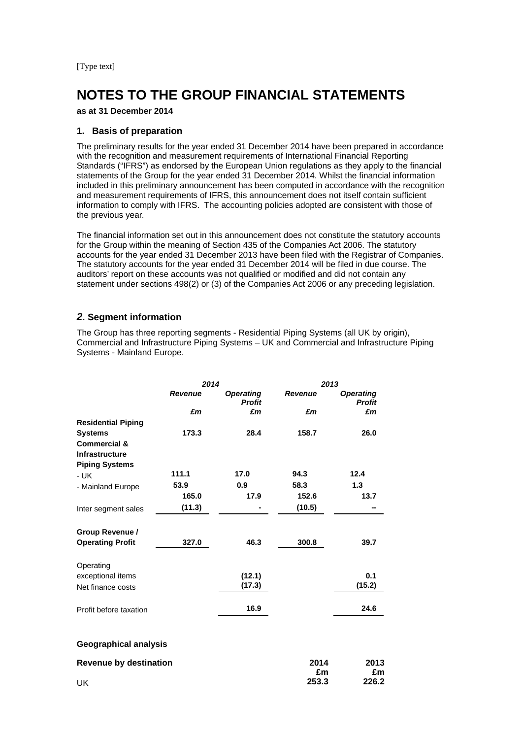# **NOTES TO THE GROUP FINANCIAL STATEMENTS**

## **as at 31 December 2014**

## **1. Basis of preparation**

The preliminary results for the year ended 31 December 2014 have been prepared in accordance with the recognition and measurement requirements of International Financial Reporting Standards ("IFRS") as endorsed by the European Union regulations as they apply to the financial statements of the Group for the year ended 31 December 2014. Whilst the financial information included in this preliminary announcement has been computed in accordance with the recognition and measurement requirements of IFRS, this announcement does not itself contain sufficient information to comply with IFRS. The accounting policies adopted are consistent with those of the previous year.

The financial information set out in this announcement does not constitute the statutory accounts for the Group within the meaning of Section 435 of the Companies Act 2006. The statutory accounts for the year ended 31 December 2013 have been filed with the Registrar of Companies. The statutory accounts for the year ended 31 December 2014 will be filed in due course. The auditors' report on these accounts was not qualified or modified and did not contain any statement under sections 498(2) or (3) of the Companies Act 2006 or any preceding legislation.

# *2***. Segment information**

The Group has three reporting segments - Residential Piping Systems (all UK by origin), Commercial and Infrastructure Piping Systems – UK and Commercial and Infrastructure Piping Systems - Mainland Europe.

|                               | 2014           |                                   |                | 2013                              |
|-------------------------------|----------------|-----------------------------------|----------------|-----------------------------------|
|                               | <b>Revenue</b> | <b>Operating</b><br><b>Profit</b> | <b>Revenue</b> | <b>Operating</b><br><b>Profit</b> |
|                               | £m             | £m                                | £m             | £m                                |
| <b>Residential Piping</b>     |                |                                   |                |                                   |
| <b>Systems</b>                | 173.3          | 28.4                              | 158.7          | 26.0                              |
| <b>Commercial &amp;</b>       |                |                                   |                |                                   |
| <b>Infrastructure</b>         |                |                                   |                |                                   |
| <b>Piping Systems</b>         |                |                                   |                |                                   |
| - UK                          | 111.1          | 17.0                              | 94.3           | 12.4                              |
| - Mainland Europe             | 53.9           | 0.9                               | 58.3           | 1.3                               |
|                               | 165.0          | 17.9                              | 152.6          | 13.7                              |
| Inter segment sales           | (11.3)         |                                   | (10.5)         |                                   |
| Group Revenue /               |                |                                   |                |                                   |
| <b>Operating Profit</b>       | 327.0          | 46.3                              | 300.8          | 39.7                              |
| Operating                     |                |                                   |                |                                   |
| exceptional items             |                | (12.1)                            |                | 0.1                               |
| Net finance costs             |                | (17.3)                            |                | (15.2)                            |
| Profit before taxation        |                | 16.9                              |                | 24.6                              |
| <b>Geographical analysis</b>  |                |                                   |                |                                   |
| <b>Revenue by destination</b> |                |                                   | 2014<br>£m     | 2013<br>£m                        |
| UK                            |                |                                   | 253.3          | 226.2                             |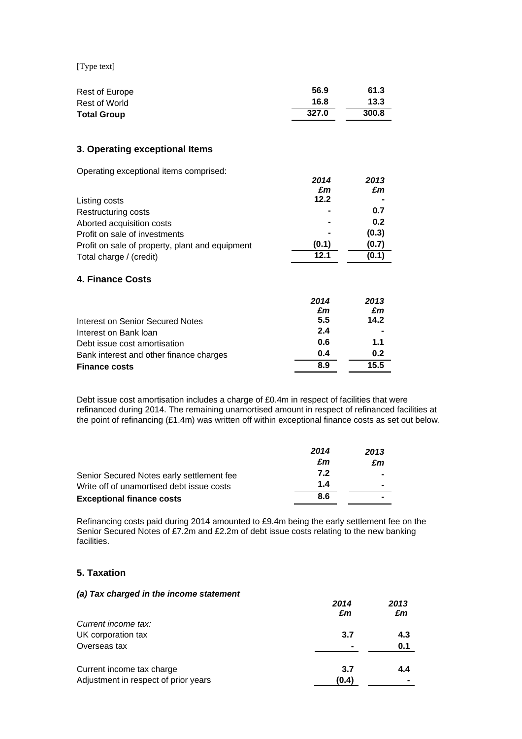| Rest of Europe<br><b>Rest of World</b><br><b>Total Group</b>               | 56.9<br>16.8<br>327.0  | 61.3<br>13.3<br>300.8 |
|----------------------------------------------------------------------------|------------------------|-----------------------|
| 3. Operating exceptional Items                                             |                        |                       |
| Operating exceptional items comprised:                                     | 2014<br>$\mathbf{f}$ m | 2013<br>£m            |
| Listing costs                                                              | 12.2                   |                       |
| Restructuring costs                                                        |                        | 0.7                   |
| Aborted acquisition costs                                                  |                        | 0.2                   |
| Profit on sale of investments                                              | (0.1)                  | (0.3)<br>(0.7)        |
| Profit on sale of property, plant and equipment<br>Total charge / (credit) | 12.1                   | (0.1)                 |
| <b>4. Finance Costs</b>                                                    |                        |                       |
|                                                                            | 2014                   | 2013                  |
| Interest on Senior Secured Notes                                           | £m<br>5.5              | £m<br>14.2            |
| Interest on Bank loan                                                      | 2.4                    |                       |
| Debt issue cost amortisation                                               | 0.6                    | 1.1                   |
| Bank interest and other finance charges                                    | 0.4                    | 0.2                   |
| <b>Finance costs</b>                                                       | 8.9                    | 15.5                  |
|                                                                            |                        |                       |

Debt issue cost amortisation includes a charge of £0.4m in respect of facilities that were refinanced during 2014. The remaining unamortised amount in respect of refinanced facilities at the point of refinancing (£1.4m) was written off within exceptional finance costs as set out below.

|                                           | 2014 | 2013           |
|-------------------------------------------|------|----------------|
|                                           | £m   | £m             |
| Senior Secured Notes early settlement fee | 7.2  | $\blacksquare$ |
| Write off of unamortised debt issue costs | 1.4  | $\blacksquare$ |
| <b>Exceptional finance costs</b>          | 8.6  |                |

Refinancing costs paid during 2014 amounted to £9.4m being the early settlement fee on the Senior Secured Notes of £7.2m and £2.2m of debt issue costs relating to the new banking facilities.

## **5. Taxation**

#### *(a) Tax charged in the income statement*

|                                      | 2014<br>£m | 2013<br>£m     |
|--------------------------------------|------------|----------------|
| Current income tax:                  |            |                |
| UK corporation tax                   | 3.7        | 4.3            |
| Overseas tax                         |            | 0.1            |
| Current income tax charge            | 3.7        | 4.4            |
| Adjustment in respect of prior years | (0.4)      | $\blacksquare$ |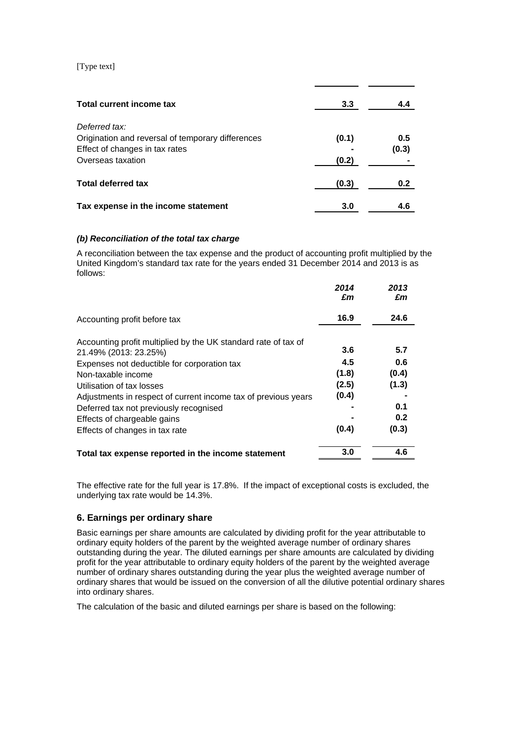| Total current income tax                          | 3.3   | 4.4   |
|---------------------------------------------------|-------|-------|
| Deferred tax:                                     |       |       |
| Origination and reversal of temporary differences | (0.1) | 0.5   |
| Effect of changes in tax rates                    |       | (0.3) |
| Overseas taxation                                 | (0.2) |       |
| <b>Total deferred tax</b>                         | (0.3) | 0.2   |
| Tax expense in the income statement               | 3.0   | 4.6   |

#### *(b) Reconciliation of the total tax charge*

A reconciliation between the tax expense and the product of accounting profit multiplied by the United Kingdom's standard tax rate for the years ended 31 December 2014 and 2013 is as follows:

|                                                                | 2014<br>£m | 2013<br>£m |
|----------------------------------------------------------------|------------|------------|
| Accounting profit before tax                                   | 16.9       | 24.6       |
| Accounting profit multiplied by the UK standard rate of tax of |            |            |
| 21.49% (2013: 23.25%)                                          | 3.6        | 5.7        |
| Expenses not deductible for corporation tax                    | 4.5        | 0.6        |
| Non-taxable income                                             | (1.8)      | (0.4)      |
| Utilisation of tax losses                                      | (2.5)      | (1.3)      |
| Adjustments in respect of current income tax of previous years | (0.4)      |            |
| Deferred tax not previously recognised                         |            | 0.1        |
| Effects of chargeable gains                                    |            | 0.2        |
| Effects of changes in tax rate                                 | (0.4)      | (0.3)      |
| Total tax expense reported in the income statement             | 3.0        | 4.6        |

The effective rate for the full year is 17.8%. If the impact of exceptional costs is excluded, the underlying tax rate would be 14.3%.

## **6. Earnings per ordinary share**

Basic earnings per share amounts are calculated by dividing profit for the year attributable to ordinary equity holders of the parent by the weighted average number of ordinary shares outstanding during the year. The diluted earnings per share amounts are calculated by dividing profit for the year attributable to ordinary equity holders of the parent by the weighted average number of ordinary shares outstanding during the year plus the weighted average number of ordinary shares that would be issued on the conversion of all the dilutive potential ordinary shares into ordinary shares.

The calculation of the basic and diluted earnings per share is based on the following: